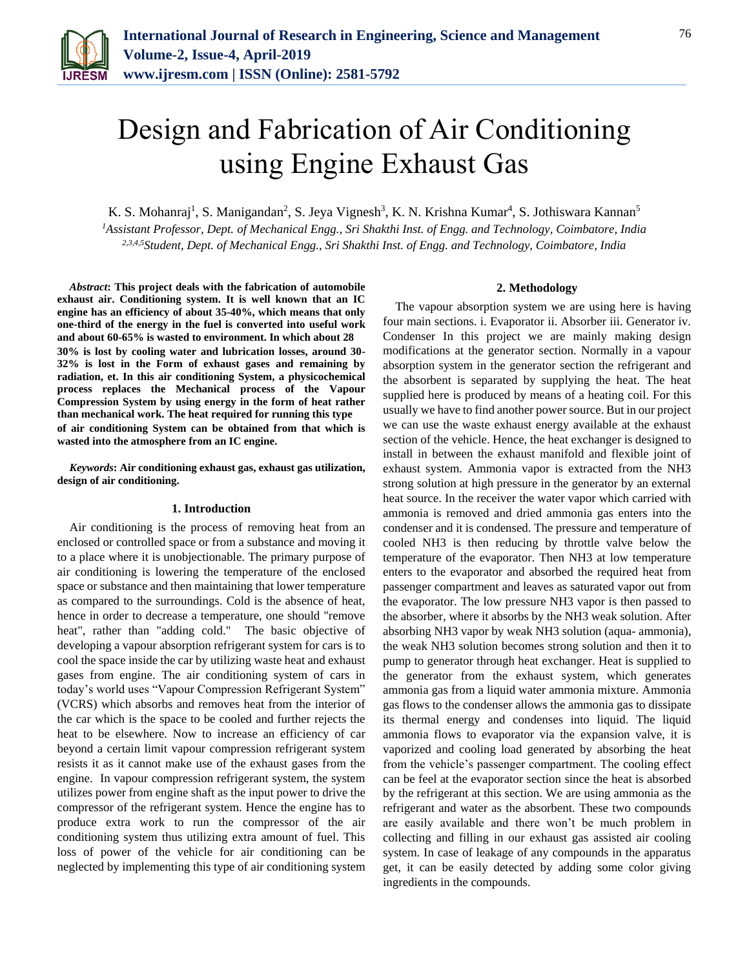

# Design and Fabrication of Air Conditioning using Engine Exhaust Gas

K. S. Mohanraj<sup>1</sup>, S. Manigandan<sup>2</sup>, S. Jeya Vignesh<sup>3</sup>, K. N. Krishna Kumar<sup>4</sup>, S. Jothiswara Kannan<sup>5</sup> *<sup>1</sup>Assistant Professor, Dept. of Mechanical Engg., Sri Shakthi Inst. of Engg. and Technology, Coimbatore, India 2,3,4,5Student, Dept. of Mechanical Engg., Sri Shakthi Inst. of Engg. and Technology, Coimbatore, India*

*Abstract***: This project deals with the fabrication of automobile exhaust air. Conditioning system. It is well known that an IC engine has an efficiency of about 35-40%, which means that only one-third of the energy in the fuel is converted into useful work and about 60-65% is wasted to environment. In which about 28 30% is lost by cooling water and lubrication losses, around 30- 32% is lost in the Form of exhaust gases and remaining by radiation, et. In this air conditioning System, a physicochemical process replaces the Mechanical process of the Vapour Compression System by using energy in the form of heat rather than mechanical work. The heat required for running this type of air conditioning System can be obtained from that which is wasted into the atmosphere from an IC engine.**

*Keywords***: Air conditioning exhaust gas, exhaust gas utilization, design of air conditioning.**

## **1. Introduction**

Air conditioning is the process of removing heat from an enclosed or controlled space or from a substance and moving it to a place where it is unobjectionable. The primary purpose of air conditioning is lowering the temperature of the enclosed space or substance and then maintaining that lower temperature as compared to the surroundings. Cold is the absence of heat, hence in order to decrease a temperature, one should "remove heat", rather than "adding cold." The basic objective of developing a vapour absorption refrigerant system for cars is to cool the space inside the car by utilizing waste heat and exhaust gases from engine. The air conditioning system of cars in today's world uses "Vapour Compression Refrigerant System" (VCRS) which absorbs and removes heat from the interior of the car which is the space to be cooled and further rejects the heat to be elsewhere. Now to increase an efficiency of car beyond a certain limit vapour compression refrigerant system resists it as it cannot make use of the exhaust gases from the engine. In vapour compression refrigerant system, the system utilizes power from engine shaft as the input power to drive the compressor of the refrigerant system. Hence the engine has to produce extra work to run the compressor of the air conditioning system thus utilizing extra amount of fuel. This loss of power of the vehicle for air conditioning can be neglected by implementing this type of air conditioning system

## **2. Methodology**

The vapour absorption system we are using here is having four main sections. i. Evaporator ii. Absorber iii. Generator iv. Condenser In this project we are mainly making design modifications at the generator section. Normally in a vapour absorption system in the generator section the refrigerant and the absorbent is separated by supplying the heat. The heat supplied here is produced by means of a heating coil. For this usually we have to find another power source. But in our project we can use the waste exhaust energy available at the exhaust section of the vehicle. Hence, the heat exchanger is designed to install in between the exhaust manifold and flexible joint of exhaust system. Ammonia vapor is extracted from the NH3 strong solution at high pressure in the generator by an external heat source. In the receiver the water vapor which carried with ammonia is removed and dried ammonia gas enters into the condenser and it is condensed. The pressure and temperature of cooled NH3 is then reducing by throttle valve below the temperature of the evaporator. Then NH3 at low temperature enters to the evaporator and absorbed the required heat from passenger compartment and leaves as saturated vapor out from the evaporator. The low pressure NH3 vapor is then passed to the absorber, where it absorbs by the NH3 weak solution. After absorbing NH3 vapor by weak NH3 solution (aqua- ammonia), the weak NH3 solution becomes strong solution and then it to pump to generator through heat exchanger. Heat is supplied to the generator from the exhaust system, which generates ammonia gas from a liquid water ammonia mixture. Ammonia gas flows to the condenser allows the ammonia gas to dissipate its thermal energy and condenses into liquid. The liquid ammonia flows to evaporator via the expansion valve, it is vaporized and cooling load generated by absorbing the heat from the vehicle's passenger compartment. The cooling effect can be feel at the evaporator section since the heat is absorbed by the refrigerant at this section. We are using ammonia as the refrigerant and water as the absorbent. These two compounds are easily available and there won't be much problem in collecting and filling in our exhaust gas assisted air cooling system. In case of leakage of any compounds in the apparatus get, it can be easily detected by adding some color giving ingredients in the compounds.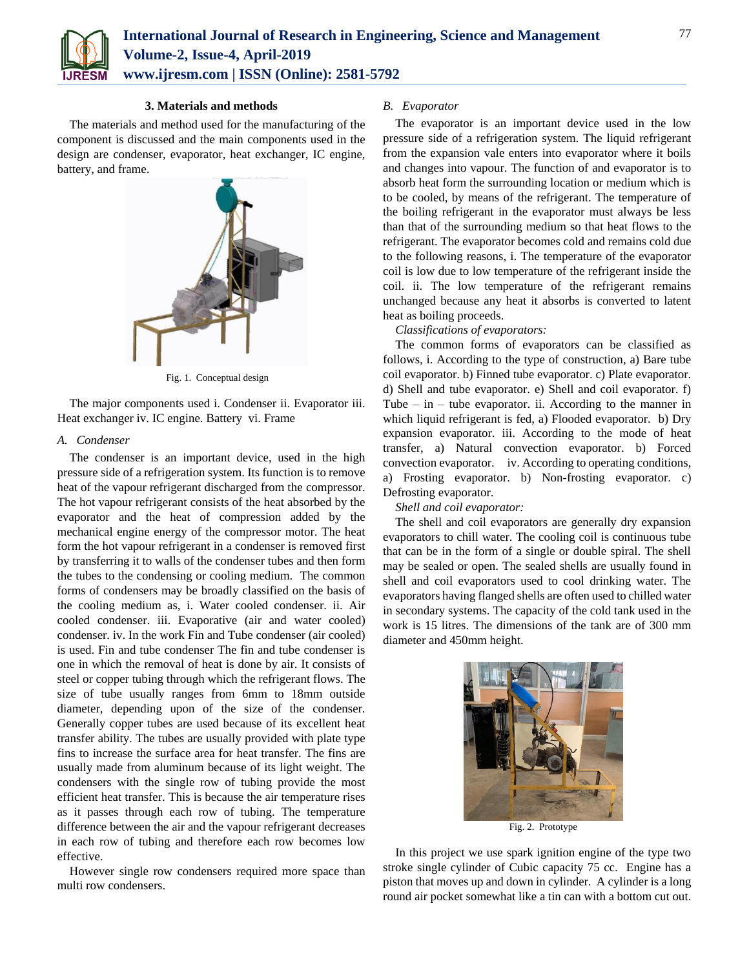

## **3. Materials and methods**

The materials and method used for the manufacturing of the component is discussed and the main components used in the design are condenser, evaporator, heat exchanger, IC engine, battery, and frame.



Fig. 1. Conceptual design

The major components used i. Condenser ii. Evaporator iii. Heat exchanger iv. IC engine. Battery vi. Frame

## *A. Condenser*

The condenser is an important device, used in the high pressure side of a refrigeration system. Its function is to remove heat of the vapour refrigerant discharged from the compressor. The hot vapour refrigerant consists of the heat absorbed by the evaporator and the heat of compression added by the mechanical engine energy of the compressor motor. The heat form the hot vapour refrigerant in a condenser is removed first by transferring it to walls of the condenser tubes and then form the tubes to the condensing or cooling medium. The common forms of condensers may be broadly classified on the basis of the cooling medium as, i. Water cooled condenser. ii. Air cooled condenser. iii. Evaporative (air and water cooled) condenser. iv. In the work Fin and Tube condenser (air cooled) is used. Fin and tube condenser The fin and tube condenser is one in which the removal of heat is done by air. It consists of steel or copper tubing through which the refrigerant flows. The size of tube usually ranges from 6mm to 18mm outside diameter, depending upon of the size of the condenser. Generally copper tubes are used because of its excellent heat transfer ability. The tubes are usually provided with plate type fins to increase the surface area for heat transfer. The fins are usually made from aluminum because of its light weight. The condensers with the single row of tubing provide the most efficient heat transfer. This is because the air temperature rises as it passes through each row of tubing. The temperature difference between the air and the vapour refrigerant decreases in each row of tubing and therefore each row becomes low effective.

However single row condensers required more space than multi row condensers.

## *B. Evaporator*

The evaporator is an important device used in the low pressure side of a refrigeration system. The liquid refrigerant from the expansion vale enters into evaporator where it boils and changes into vapour. The function of and evaporator is to absorb heat form the surrounding location or medium which is to be cooled, by means of the refrigerant. The temperature of the boiling refrigerant in the evaporator must always be less than that of the surrounding medium so that heat flows to the refrigerant. The evaporator becomes cold and remains cold due to the following reasons, i. The temperature of the evaporator coil is low due to low temperature of the refrigerant inside the coil. ii. The low temperature of the refrigerant remains unchanged because any heat it absorbs is converted to latent heat as boiling proceeds.

## *Classifications of evaporators:*

The common forms of evaporators can be classified as follows, i. According to the type of construction, a) Bare tube coil evaporator. b) Finned tube evaporator. c) Plate evaporator. d) Shell and tube evaporator. e) Shell and coil evaporator. f) Tube – in – tube evaporator. ii. According to the manner in which liquid refrigerant is fed, a) Flooded evaporator. b) Dry expansion evaporator. iii. According to the mode of heat transfer, a) Natural convection evaporator. b) Forced convection evaporator. iv. According to operating conditions, a) Frosting evaporator. b) Non-frosting evaporator. c) Defrosting evaporator.

## *Shell and coil evaporator:*

The shell and coil evaporators are generally dry expansion evaporators to chill water. The cooling coil is continuous tube that can be in the form of a single or double spiral. The shell may be sealed or open. The sealed shells are usually found in shell and coil evaporators used to cool drinking water. The evaporators having flanged shells are often used to chilled water in secondary systems. The capacity of the cold tank used in the work is 15 litres. The dimensions of the tank are of 300 mm diameter and 450mm height.



Fig. 2. Prototype

In this project we use spark ignition engine of the type two stroke single cylinder of Cubic capacity 75 cc. Engine has a piston that moves up and down in cylinder. A cylinder is a long round air pocket somewhat like a tin can with a bottom cut out.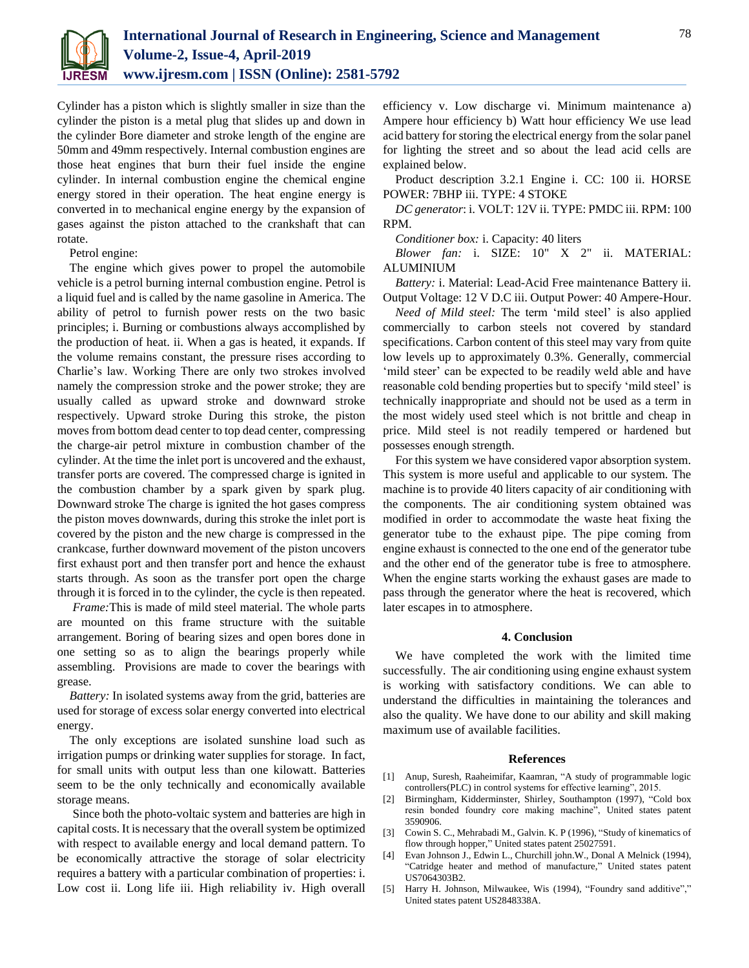

Cylinder has a piston which is slightly smaller in size than the cylinder the piston is a metal plug that slides up and down in the cylinder Bore diameter and stroke length of the engine are 50mm and 49mm respectively. Internal combustion engines are those heat engines that burn their fuel inside the engine cylinder. In internal combustion engine the chemical engine energy stored in their operation. The heat engine energy is converted in to mechanical engine energy by the expansion of gases against the piston attached to the crankshaft that can rotate.

Petrol engine:

The engine which gives power to propel the automobile vehicle is a petrol burning internal combustion engine. Petrol is a liquid fuel and is called by the name gasoline in America. The ability of petrol to furnish power rests on the two basic principles; i. Burning or combustions always accomplished by the production of heat. ii. When a gas is heated, it expands. If the volume remains constant, the pressure rises according to Charlie's law. Working There are only two strokes involved namely the compression stroke and the power stroke; they are usually called as upward stroke and downward stroke respectively. Upward stroke During this stroke, the piston moves from bottom dead center to top dead center, compressing the charge-air petrol mixture in combustion chamber of the cylinder. At the time the inlet port is uncovered and the exhaust, transfer ports are covered. The compressed charge is ignited in the combustion chamber by a spark given by spark plug. Downward stroke The charge is ignited the hot gases compress the piston moves downwards, during this stroke the inlet port is covered by the piston and the new charge is compressed in the crankcase, further downward movement of the piston uncovers first exhaust port and then transfer port and hence the exhaust starts through. As soon as the transfer port open the charge through it is forced in to the cylinder, the cycle is then repeated.

*Frame:*This is made of mild steel material. The whole parts are mounted on this frame structure with the suitable arrangement. Boring of bearing sizes and open bores done in one setting so as to align the bearings properly while assembling. Provisions are made to cover the bearings with grease.

*Battery:* In isolated systems away from the grid, batteries are used for storage of excess solar energy converted into electrical energy.

The only exceptions are isolated sunshine load such as irrigation pumps or drinking water supplies for storage. In fact, for small units with output less than one kilowatt. Batteries seem to be the only technically and economically available storage means.

Since both the photo-voltaic system and batteries are high in capital costs. It is necessary that the overall system be optimized with respect to available energy and local demand pattern. To be economically attractive the storage of solar electricity requires a battery with a particular combination of properties: i. Low cost ii. Long life iii. High reliability iv. High overall efficiency v. Low discharge vi. Minimum maintenance a) Ampere hour efficiency b) Watt hour efficiency We use lead acid battery for storing the electrical energy from the solar panel for lighting the street and so about the lead acid cells are explained below.

Product description 3.2.1 Engine i. CC: 100 ii. HORSE POWER: 7BHP iii. TYPE: 4 STOKE

*DC generator*: i. VOLT: 12V ii. TYPE: PMDC iii. RPM: 100 RPM.

*Conditioner box:* i. Capacity: 40 liters

*Blower fan:* i. SIZE: 10" X 2" ii. MATERIAL: ALUMINIUM

*Battery:* i. Material: Lead-Acid Free maintenance Battery ii. Output Voltage: 12 V D.C iii. Output Power: 40 Ampere-Hour.

*Need of Mild steel:* The term 'mild steel' is also applied commercially to carbon steels not covered by standard specifications. Carbon content of this steel may vary from quite low levels up to approximately 0.3%. Generally, commercial 'mild steer' can be expected to be readily weld able and have reasonable cold bending properties but to specify 'mild steel' is technically inappropriate and should not be used as a term in the most widely used steel which is not brittle and cheap in price. Mild steel is not readily tempered or hardened but possesses enough strength.

For this system we have considered vapor absorption system. This system is more useful and applicable to our system. The machine is to provide 40 liters capacity of air conditioning with the components. The air conditioning system obtained was modified in order to accommodate the waste heat fixing the generator tube to the exhaust pipe. The pipe coming from engine exhaust is connected to the one end of the generator tube and the other end of the generator tube is free to atmosphere. When the engine starts working the exhaust gases are made to pass through the generator where the heat is recovered, which later escapes in to atmosphere.

#### **4. Conclusion**

We have completed the work with the limited time successfully. The air conditioning using engine exhaust system is working with satisfactory conditions. We can able to understand the difficulties in maintaining the tolerances and also the quality. We have done to our ability and skill making maximum use of available facilities.

#### **References**

- [1] Anup, Suresh, Raaheimifar, Kaamran, "A study of programmable logic controllers(PLC) in control systems for effective learning", 2015.
- [2] Birmingham, Kidderminster, Shirley, Southampton (1997), "Cold box resin bonded foundry core making machine", United states patent 3590906.
- [3] Cowin S. C., Mehrabadi M., Galvin. K. P (1996), "Study of kinematics of flow through hopper," United states patent 25027591.
- [4] Evan Johnson J., Edwin L., Churchill john.W., Donal A Melnick (1994), "Catridge heater and method of manufacture," United states patent US7064303B2.
- [5] Harry H. Johnson, Milwaukee, Wis (1994), "Foundry sand additive"," United states patent US2848338A.